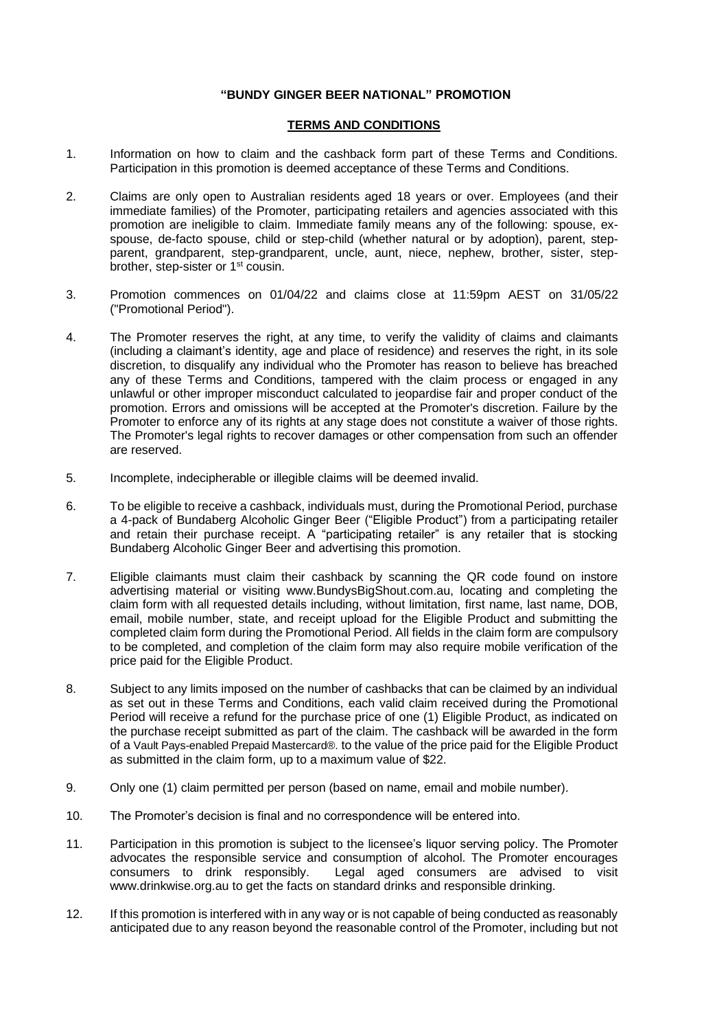## **"BUNDY GINGER BEER NATIONAL" PROMOTION**

## **TERMS AND CONDITIONS**

- 1. Information on how to claim and the cashback form part of these Terms and Conditions. Participation in this promotion is deemed acceptance of these Terms and Conditions.
- 2. Claims are only open to Australian residents aged 18 years or over. Employees (and their immediate families) of the Promoter, participating retailers and agencies associated with this promotion are ineligible to claim. Immediate family means any of the following: spouse, exspouse, de-facto spouse, child or step-child (whether natural or by adoption), parent, stepparent, grandparent, step-grandparent, uncle, aunt, niece, nephew, brother, sister, stepbrother, step-sister or 1<sup>st</sup> cousin.
- 3. Promotion commences on 01/04/22 and claims close at 11:59pm AEST on 31/05/22 ("Promotional Period").
- 4. The Promoter reserves the right, at any time, to verify the validity of claims and claimants (including a claimant's identity, age and place of residence) and reserves the right, in its sole discretion, to disqualify any individual who the Promoter has reason to believe has breached any of these Terms and Conditions, tampered with the claim process or engaged in any unlawful or other improper misconduct calculated to jeopardise fair and proper conduct of the promotion. Errors and omissions will be accepted at the Promoter's discretion. Failure by the Promoter to enforce any of its rights at any stage does not constitute a waiver of those rights. The Promoter's legal rights to recover damages or other compensation from such an offender are reserved.
- 5. Incomplete, indecipherable or illegible claims will be deemed invalid.
- 6. To be eligible to receive a cashback, individuals must, during the Promotional Period, purchase a 4-pack of Bundaberg Alcoholic Ginger Beer ("Eligible Product") from a participating retailer and retain their purchase receipt. A "participating retailer" is any retailer that is stocking Bundaberg Alcoholic Ginger Beer and advertising this promotion.
- 7. Eligible claimants must claim their cashback by scanning the QR code found on instore advertising material or visiting www.BundysBigShout.com.au, locating and completing the claim form with all requested details including, without limitation, first name, last name, DOB, email, mobile number, state, and receipt upload for the Eligible Product and submitting the completed claim form during the Promotional Period. All fields in the claim form are compulsory to be completed, and completion of the claim form may also require mobile verification of the price paid for the Eligible Product.
- 8. Subject to any limits imposed on the number of cashbacks that can be claimed by an individual as set out in these Terms and Conditions, each valid claim received during the Promotional Period will receive a refund for the purchase price of one (1) Eligible Product, as indicated on the purchase receipt submitted as part of the claim. The cashback will be awarded in the form of a Vault Pays-enabled Prepaid Mastercard®. to the value of the price paid for the Eligible Product as submitted in the claim form, up to a maximum value of \$22.
- 9. Only one (1) claim permitted per person (based on name, email and mobile number).
- 10. The Promoter's decision is final and no correspondence will be entered into.
- 11. Participation in this promotion is subject to the licensee's liquor serving policy. The Promoter advocates the responsible service and consumption of alcohol. The Promoter encourages consumers to drink responsibly. Legal aged consumers are advised to visit www.drinkwise.org.au to get the facts on standard drinks and responsible drinking.
- 12. If this promotion is interfered with in any way or is not capable of being conducted as reasonably anticipated due to any reason beyond the reasonable control of the Promoter, including but not